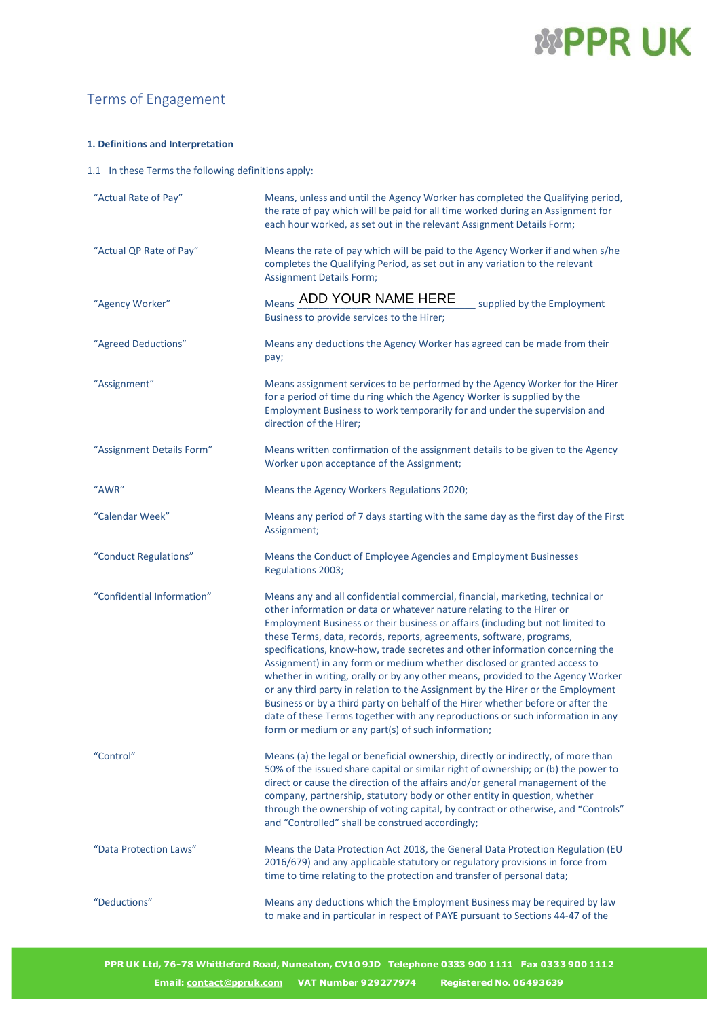# *WPPRUK*

### Terms of Engagement

### **1. Definitions and Interpretation**

1.1 In these Terms the following definitions apply:

| "Actual Rate of Pay"       | Means, unless and until the Agency Worker has completed the Qualifying period,<br>the rate of pay which will be paid for all time worked during an Assignment for<br>each hour worked, as set out in the relevant Assignment Details Form;                                                                                                                                                                                                                                                                                                                                                                                                                                                                                                                                                                                                                                     |
|----------------------------|--------------------------------------------------------------------------------------------------------------------------------------------------------------------------------------------------------------------------------------------------------------------------------------------------------------------------------------------------------------------------------------------------------------------------------------------------------------------------------------------------------------------------------------------------------------------------------------------------------------------------------------------------------------------------------------------------------------------------------------------------------------------------------------------------------------------------------------------------------------------------------|
| "Actual QP Rate of Pay"    | Means the rate of pay which will be paid to the Agency Worker if and when s/he<br>completes the Qualifying Period, as set out in any variation to the relevant<br><b>Assignment Details Form;</b>                                                                                                                                                                                                                                                                                                                                                                                                                                                                                                                                                                                                                                                                              |
| "Agency Worker"            | Means ADD YOUR NAME HERE<br>supplied by the Employment<br>Business to provide services to the Hirer;                                                                                                                                                                                                                                                                                                                                                                                                                                                                                                                                                                                                                                                                                                                                                                           |
| "Agreed Deductions"        | Means any deductions the Agency Worker has agreed can be made from their<br>pay;                                                                                                                                                                                                                                                                                                                                                                                                                                                                                                                                                                                                                                                                                                                                                                                               |
| "Assignment"               | Means assignment services to be performed by the Agency Worker for the Hirer<br>for a period of time du ring which the Agency Worker is supplied by the<br>Employment Business to work temporarily for and under the supervision and<br>direction of the Hirer;                                                                                                                                                                                                                                                                                                                                                                                                                                                                                                                                                                                                                |
| "Assignment Details Form"  | Means written confirmation of the assignment details to be given to the Agency<br>Worker upon acceptance of the Assignment;                                                                                                                                                                                                                                                                                                                                                                                                                                                                                                                                                                                                                                                                                                                                                    |
| "AWR"                      | Means the Agency Workers Regulations 2020;                                                                                                                                                                                                                                                                                                                                                                                                                                                                                                                                                                                                                                                                                                                                                                                                                                     |
| "Calendar Week"            | Means any period of 7 days starting with the same day as the first day of the First<br>Assignment;                                                                                                                                                                                                                                                                                                                                                                                                                                                                                                                                                                                                                                                                                                                                                                             |
| "Conduct Regulations"      | Means the Conduct of Employee Agencies and Employment Businesses<br>Regulations 2003;                                                                                                                                                                                                                                                                                                                                                                                                                                                                                                                                                                                                                                                                                                                                                                                          |
| "Confidential Information" | Means any and all confidential commercial, financial, marketing, technical or<br>other information or data or whatever nature relating to the Hirer or<br>Employment Business or their business or affairs (including but not limited to<br>these Terms, data, records, reports, agreements, software, programs,<br>specifications, know-how, trade secretes and other information concerning the<br>Assignment) in any form or medium whether disclosed or granted access to<br>whether in writing, orally or by any other means, provided to the Agency Worker<br>or any third party in relation to the Assignment by the Hirer or the Employment<br>Business or by a third party on behalf of the Hirer whether before or after the<br>date of these Terms together with any reproductions or such information in any<br>form or medium or any part(s) of such information; |
| "Control"                  | Means (a) the legal or beneficial ownership, directly or indirectly, of more than<br>50% of the issued share capital or similar right of ownership; or (b) the power to<br>direct or cause the direction of the affairs and/or general management of the<br>company, partnership, statutory body or other entity in question, whether<br>through the ownership of voting capital, by contract or otherwise, and "Controls"<br>and "Controlled" shall be construed accordingly;                                                                                                                                                                                                                                                                                                                                                                                                 |
| "Data Protection Laws"     | Means the Data Protection Act 2018, the General Data Protection Regulation (EU<br>2016/679) and any applicable statutory or regulatory provisions in force from<br>time to time relating to the protection and transfer of personal data;                                                                                                                                                                                                                                                                                                                                                                                                                                                                                                                                                                                                                                      |
| "Deductions"               | Means any deductions which the Employment Business may be required by law<br>to make and in particular in respect of PAYE pursuant to Sections 44-47 of the                                                                                                                                                                                                                                                                                                                                                                                                                                                                                                                                                                                                                                                                                                                    |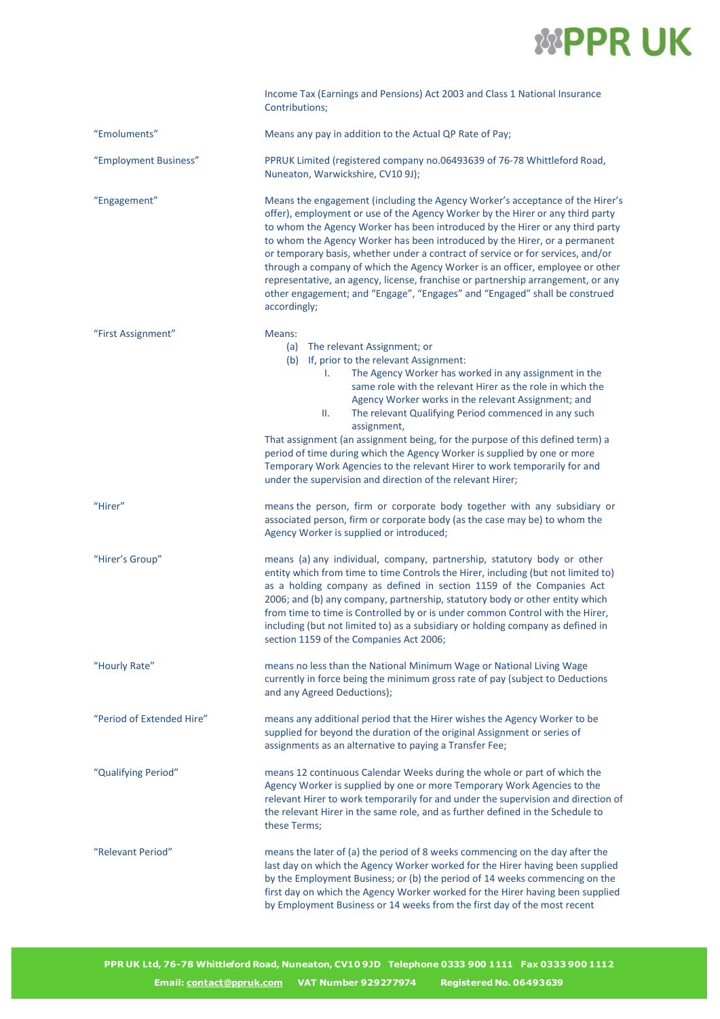

|                           | Income Tax (Earnings and Pensions) Act 2003 and Class 1 National Insurance<br>Contributions;                                                                                                                                                                                                                                                                                                                                                                                                                                                                                                                                                                                         |
|---------------------------|--------------------------------------------------------------------------------------------------------------------------------------------------------------------------------------------------------------------------------------------------------------------------------------------------------------------------------------------------------------------------------------------------------------------------------------------------------------------------------------------------------------------------------------------------------------------------------------------------------------------------------------------------------------------------------------|
| "Emoluments"              | Means any pay in addition to the Actual QP Rate of Pay;                                                                                                                                                                                                                                                                                                                                                                                                                                                                                                                                                                                                                              |
| "Employment Business"     | PPRUK Limited (registered company no.06493639 of 76-78 Whittleford Road,<br>Nuneaton, Warwickshire, CV10 9J);                                                                                                                                                                                                                                                                                                                                                                                                                                                                                                                                                                        |
| "Engagement"              | Means the engagement (including the Agency Worker's acceptance of the Hirer's<br>offer), employment or use of the Agency Worker by the Hirer or any third party<br>to whom the Agency Worker has been introduced by the Hirer or any third party<br>to whom the Agency Worker has been introduced by the Hirer, or a permanent<br>or temporary basis, whether under a contract of service or for services, and/or<br>through a company of which the Agency Worker is an officer, employee or other<br>representative, an agency, license, franchise or partnership arrangement, or any<br>other engagement; and "Engage", "Engages" and "Engaged" shall be construed<br>accordingly; |
| "First Assignment"        | Means:<br>The relevant Assignment; or<br>(a)<br>(b) If, prior to the relevant Assignment:<br>The Agency Worker has worked in any assignment in the<br>L.<br>same role with the relevant Hirer as the role in which the<br>Agency Worker works in the relevant Assignment; and<br>The relevant Qualifying Period commenced in any such<br>Ш.<br>assignment,<br>That assignment (an assignment being, for the purpose of this defined term) a<br>period of time during which the Agency Worker is supplied by one or more<br>Temporary Work Agencies to the relevant Hirer to work temporarily for and<br>under the supervision and direction of the relevant Hirer;                   |
| "Hirer"                   | means the person, firm or corporate body together with any subsidiary or<br>associated person, firm or corporate body (as the case may be) to whom the<br>Agency Worker is supplied or introduced;                                                                                                                                                                                                                                                                                                                                                                                                                                                                                   |
| "Hirer's Group"           | means (a) any individual, company, partnership, statutory body or other<br>entity which from time to time Controls the Hirer, including (but not limited to)<br>as a holding company as defined in section 1159 of the Companies Act<br>2006; and (b) any company, partnership, statutory body or other entity which<br>from time to time is Controlled by or is under common Control with the Hirer,<br>including (but not limited to) as a subsidiary or holding company as defined in<br>section 1159 of the Companies Act 2006;                                                                                                                                                  |
| "Hourly Rate"             | means no less than the National Minimum Wage or National Living Wage<br>currently in force being the minimum gross rate of pay (subject to Deductions<br>and any Agreed Deductions);                                                                                                                                                                                                                                                                                                                                                                                                                                                                                                 |
| "Period of Extended Hire" | means any additional period that the Hirer wishes the Agency Worker to be<br>supplied for beyond the duration of the original Assignment or series of<br>assignments as an alternative to paying a Transfer Fee;                                                                                                                                                                                                                                                                                                                                                                                                                                                                     |
| "Qualifying Period"       | means 12 continuous Calendar Weeks during the whole or part of which the<br>Agency Worker is supplied by one or more Temporary Work Agencies to the<br>relevant Hirer to work temporarily for and under the supervision and direction of<br>the relevant Hirer in the same role, and as further defined in the Schedule to<br>these Terms;                                                                                                                                                                                                                                                                                                                                           |
| "Relevant Period"         | means the later of (a) the period of 8 weeks commencing on the day after the<br>last day on which the Agency Worker worked for the Hirer having been supplied<br>by the Employment Business; or (b) the period of 14 weeks commencing on the<br>first day on which the Agency Worker worked for the Hirer having been supplied<br>by Employment Business or 14 weeks from the first day of the most recent                                                                                                                                                                                                                                                                           |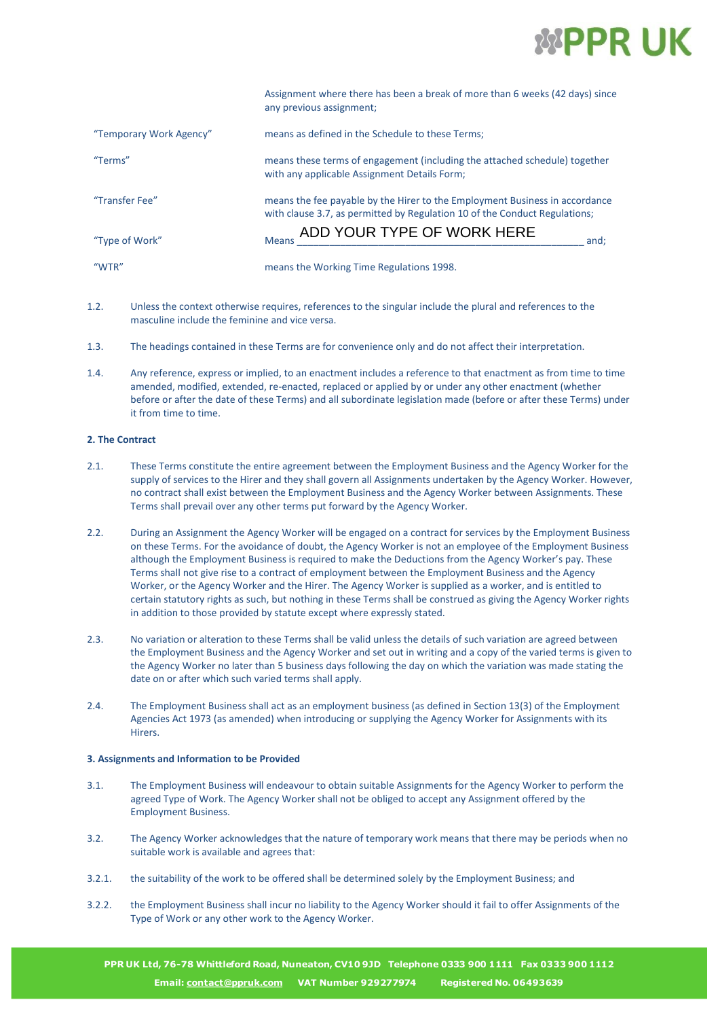

|                         | Assignment where there has been a break of more than 6 weeks (42 days) since<br>any previous assignment;                                                  |
|-------------------------|-----------------------------------------------------------------------------------------------------------------------------------------------------------|
| "Temporary Work Agency" | means as defined in the Schedule to these Terms;                                                                                                          |
| "Terms"                 | means these terms of engagement (including the attached schedule) together<br>with any applicable Assignment Details Form;                                |
| "Transfer Fee"          | means the fee payable by the Hirer to the Employment Business in accordance<br>with clause 3.7, as permitted by Regulation 10 of the Conduct Regulations; |
| "Type of Work"          | ADD YOUR TYPE OF WORK HERE<br><b>Means</b><br>and:                                                                                                        |
| "WTR"                   | means the Working Time Regulations 1998.                                                                                                                  |

- 1.2. Unless the context otherwise requires, references to the singular include the plural and references to the masculine include the feminine and vice versa.
- 1.3. The headings contained in these Terms are for convenience only and do not affect their interpretation.
- 1.4. Any reference, express or implied, to an enactment includes a reference to that enactment as from time to time amended, modified, extended, re-enacted, replaced or applied by or under any other enactment (whether before or after the date of these Terms) and all subordinate legislation made (before or after these Terms) under it from time to time.

#### **2. The Contract**

- 2.1. These Terms constitute the entire agreement between the Employment Business and the Agency Worker for the supply of services to the Hirer and they shall govern all Assignments undertaken by the Agency Worker. However, no contract shall exist between the Employment Business and the Agency Worker between Assignments. These Terms shall prevail over any other terms put forward by the Agency Worker.
- 2.2. During an Assignment the Agency Worker will be engaged on a contract for services by the Employment Business on these Terms. For the avoidance of doubt, the Agency Worker is not an employee of the Employment Business although the Employment Business is required to make the Deductions from the Agency Worker's pay. These Terms shall not give rise to a contract of employment between the Employment Business and the Agency Worker, or the Agency Worker and the Hirer. The Agency Worker is supplied as a worker, and is entitled to certain statutory rights as such, but nothing in these Terms shall be construed as giving the Agency Worker rights in addition to those provided by statute except where expressly stated.
- 2.3. No variation or alteration to these Terms shall be valid unless the details of such variation are agreed between the Employment Business and the Agency Worker and set out in writing and a copy of the varied terms is given to the Agency Worker no later than 5 business days following the day on which the variation was made stating the date on or after which such varied terms shall apply.
- 2.4. The Employment Business shall act as an employment business (as defined in Section 13(3) of the Employment Agencies Act 1973 (as amended) when introducing or supplying the Agency Worker for Assignments with its **Hirers**

#### **3. Assignments and Information to be Provided**

- 3.1. The Employment Business will endeavour to obtain suitable Assignments for the Agency Worker to perform the agreed Type of Work. The Agency Worker shall not be obliged to accept any Assignment offered by the Employment Business.
- 3.2. The Agency Worker acknowledges that the nature of temporary work means that there may be periods when no suitable work is available and agrees that:
- 3.2.1. the suitability of the work to be offered shall be determined solely by the Employment Business; and
- 3.2.2. the Employment Business shall incur no liability to the Agency Worker should it fail to offer Assignments of the Type of Work or any other work to the Agency Worker.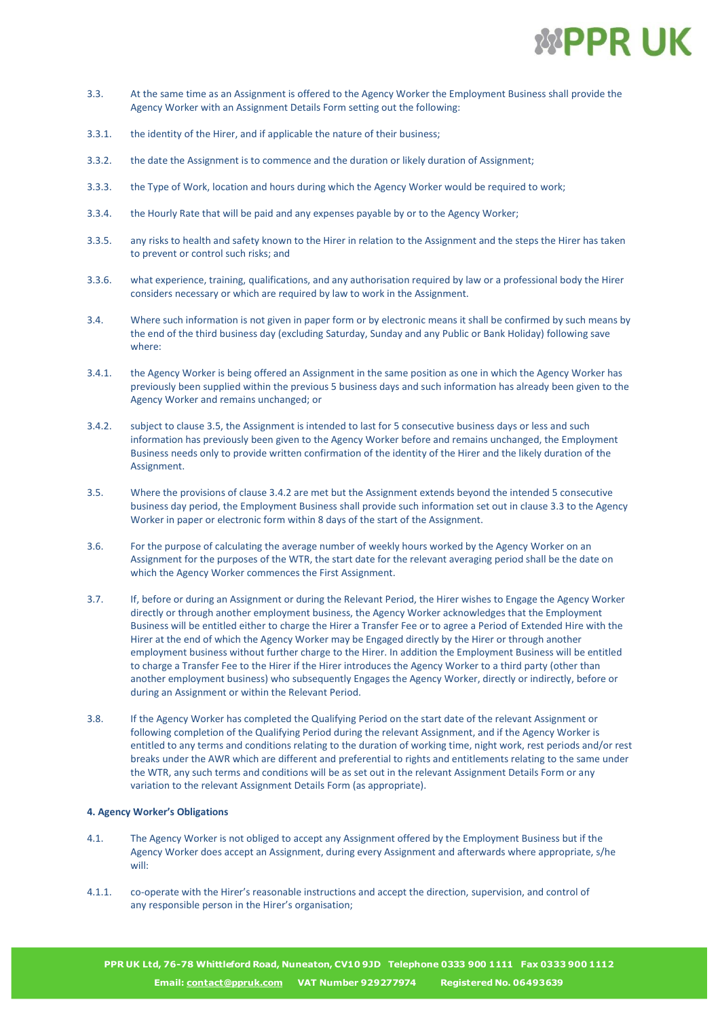

- 3.3. At the same time as an Assignment is offered to the Agency Worker the Employment Business shall provide the Agency Worker with an Assignment Details Form setting out the following:
- 3.3.1. the identity of the Hirer, and if applicable the nature of their business;
- 3.3.2. the date the Assignment is to commence and the duration or likely duration of Assignment;
- 3.3.3. the Type of Work, location and hours during which the Agency Worker would be required to work;
- 3.3.4. the Hourly Rate that will be paid and any expenses payable by or to the Agency Worker;
- 3.3.5. any risks to health and safety known to the Hirer in relation to the Assignment and the steps the Hirer has taken to prevent or control such risks; and
- 3.3.6. what experience, training, qualifications, and any authorisation required by law or a professional body the Hirer considers necessary or which are required by law to work in the Assignment.
- 3.4. Where such information is not given in paper form or by electronic means it shall be confirmed by such means by the end of the third business day (excluding Saturday, Sunday and any Public or Bank Holiday) following save where:
- 3.4.1. the Agency Worker is being offered an Assignment in the same position as one in which the Agency Worker has previously been supplied within the previous 5 business days and such information has already been given to the Agency Worker and remains unchanged; or
- 3.4.2. subject to clause 3.5, the Assignment is intended to last for 5 consecutive business days or less and such information has previously been given to the Agency Worker before and remains unchanged, the Employment Business needs only to provide written confirmation of the identity of the Hirer and the likely duration of the Assignment.
- 3.5. Where the provisions of clause 3.4.2 are met but the Assignment extends beyond the intended 5 consecutive business day period, the Employment Business shall provide such information set out in clause 3.3 to the Agency Worker in paper or electronic form within 8 days of the start of the Assignment.
- 3.6. For the purpose of calculating the average number of weekly hours worked by the Agency Worker on an Assignment for the purposes of the WTR, the start date for the relevant averaging period shall be the date on which the Agency Worker commences the First Assignment.
- 3.7. If, before or during an Assignment or during the Relevant Period, the Hirer wishes to Engage the Agency Worker directly or through another employment business, the Agency Worker acknowledges that the Employment Business will be entitled either to charge the Hirer a Transfer Fee or to agree a Period of Extended Hire with the Hirer at the end of which the Agency Worker may be Engaged directly by the Hirer or through another employment business without further charge to the Hirer. In addition the Employment Business will be entitled to charge a Transfer Fee to the Hirer if the Hirer introduces the Agency Worker to a third party (other than another employment business) who subsequently Engages the Agency Worker, directly or indirectly, before or during an Assignment or within the Relevant Period.
- 3.8. If the Agency Worker has completed the Qualifying Period on the start date of the relevant Assignment or following completion of the Qualifying Period during the relevant Assignment, and if the Agency Worker is entitled to any terms and conditions relating to the duration of working time, night work, rest periods and/or rest breaks under the AWR which are different and preferential to rights and entitlements relating to the same under the WTR, any such terms and conditions will be as set out in the relevant Assignment Details Form or any variation to the relevant Assignment Details Form (as appropriate).

#### **4. Agency Worker's Obligations**

- 4.1. The Agency Worker is not obliged to accept any Assignment offered by the Employment Business but if the Agency Worker does accept an Assignment, during every Assignment and afterwards where appropriate, s/he will:
- 4.1.1. co-operate with the Hirer's reasonable instructions and accept the direction, supervision, and control of any responsible person in the Hirer's organisation;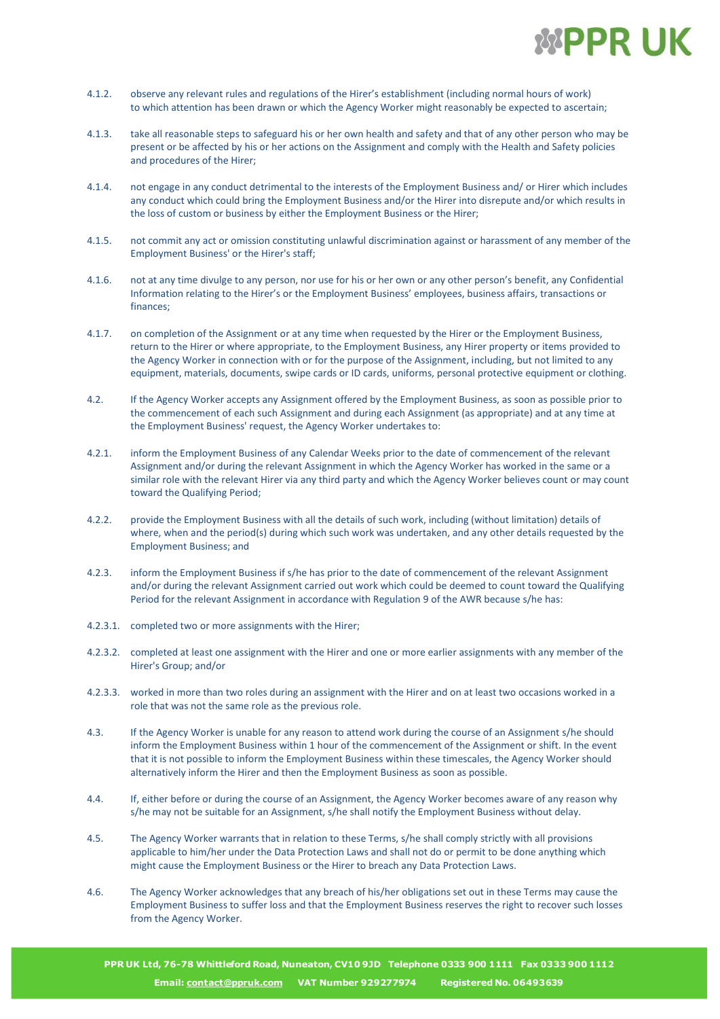

- 4.1.2. observe any relevant rules and regulations of the Hirer's establishment (including normal hours of work) to which attention has been drawn or which the Agency Worker might reasonably be expected to ascertain;
- 4.1.3. take all reasonable steps to safeguard his or her own health and safety and that of any other person who may be present or be affected by his or her actions on the Assignment and comply with the Health and Safety policies and procedures of the Hirer;
- 4.1.4. not engage in any conduct detrimental to the interests of the Employment Business and/ or Hirer which includes any conduct which could bring the Employment Business and/or the Hirer into disrepute and/or which results in the loss of custom or business by either the Employment Business or the Hirer;
- 4.1.5. not commit any act or omission constituting unlawful discrimination against or harassment of any member of the Employment Business' or the Hirer's staff;
- 4.1.6. not at any time divulge to any person, nor use for his or her own or any other person's benefit, any Confidential Information relating to the Hirer's or the Employment Business' employees, business affairs, transactions or finances;
- 4.1.7. on completion of the Assignment or at any time when requested by the Hirer or the Employment Business, return to the Hirer or where appropriate, to the Employment Business, any Hirer property or items provided to the Agency Worker in connection with or for the purpose of the Assignment, including, but not limited to any equipment, materials, documents, swipe cards or ID cards, uniforms, personal protective equipment or clothing.
- 4.2. If the Agency Worker accepts any Assignment offered by the Employment Business, as soon as possible prior to the commencement of each such Assignment and during each Assignment (as appropriate) and at any time at the Employment Business' request, the Agency Worker undertakes to:
- 4.2.1. inform the Employment Business of any Calendar Weeks prior to the date of commencement of the relevant Assignment and/or during the relevant Assignment in which the Agency Worker has worked in the same or a similar role with the relevant Hirer via any third party and which the Agency Worker believes count or may count toward the Qualifying Period;
- 4.2.2. provide the Employment Business with all the details of such work, including (without limitation) details of where, when and the period(s) during which such work was undertaken, and any other details requested by the Employment Business; and
- 4.2.3. inform the Employment Business if s/he has prior to the date of commencement of the relevant Assignment and/or during the relevant Assignment carried out work which could be deemed to count toward the Qualifying Period for the relevant Assignment in accordance with Regulation 9 of the AWR because s/he has:
- 4.2.3.1. completed two or more assignments with the Hirer;
- 4.2.3.2. completed at least one assignment with the Hirer and one or more earlier assignments with any member of the Hirer's Group; and/or
- 4.2.3.3. worked in more than two roles during an assignment with the Hirer and on at least two occasions worked in a role that was not the same role as the previous role.
- 4.3. If the Agency Worker is unable for any reason to attend work during the course of an Assignment s/he should inform the Employment Business within 1 hour of the commencement of the Assignment or shift. In the event that it is not possible to inform the Employment Business within these timescales, the Agency Worker should alternatively inform the Hirer and then the Employment Business as soon as possible.
- 4.4. If, either before or during the course of an Assignment, the Agency Worker becomes aware of any reason why s/he may not be suitable for an Assignment, s/he shall notify the Employment Business without delay.
- 4.5. The Agency Worker warrants that in relation to these Terms, s/he shall comply strictly with all provisions applicable to him/her under the Data Protection Laws and shall not do or permit to be done anything which might cause the Employment Business or the Hirer to breach any Data Protection Laws.
- 4.6. The Agency Worker acknowledges that any breach of his/her obligations set out in these Terms may cause the Employment Business to suffer loss and that the Employment Business reserves the right to recover such losses from the Agency Worker.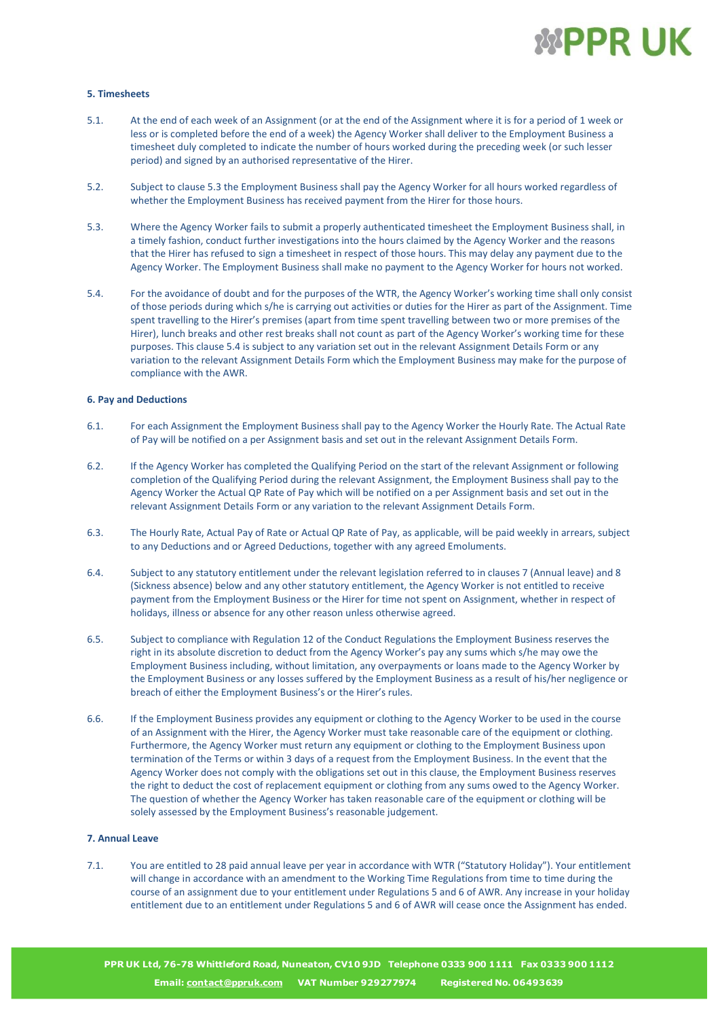

#### **5. Timesheets**

- 5.1. At the end of each week of an Assignment (or at the end of the Assignment where it is for a period of 1 week or less or is completed before the end of a week) the Agency Worker shall deliver to the Employment Business a timesheet duly completed to indicate the number of hours worked during the preceding week (or such lesser period) and signed by an authorised representative of the Hirer.
- 5.2. Subject to clause 5.3 the Employment Business shall pay the Agency Worker for all hours worked regardless of whether the Employment Business has received payment from the Hirer for those hours.
- 5.3. Where the Agency Worker fails to submit a properly authenticated timesheet the Employment Business shall, in a timely fashion, conduct further investigations into the hours claimed by the Agency Worker and the reasons that the Hirer has refused to sign a timesheet in respect of those hours. This may delay any payment due to the Agency Worker. The Employment Business shall make no payment to the Agency Worker for hours not worked.
- 5.4. For the avoidance of doubt and for the purposes of the WTR, the Agency Worker's working time shall only consist of those periods during which s/he is carrying out activities or duties for the Hirer as part of the Assignment. Time spent travelling to the Hirer's premises (apart from time spent travelling between two or more premises of the Hirer), lunch breaks and other rest breaks shall not count as part of the Agency Worker's working time for these purposes. This clause 5.4 is subject to any variation set out in the relevant Assignment Details Form or any variation to the relevant Assignment Details Form which the Employment Business may make for the purpose of compliance with the AWR.

#### **6. Pay and Deductions**

- 6.1. For each Assignment the Employment Business shall pay to the Agency Worker the Hourly Rate. The Actual Rate of Pay will be notified on a per Assignment basis and set out in the relevant Assignment Details Form.
- 6.2. If the Agency Worker has completed the Qualifying Period on the start of the relevant Assignment or following completion of the Qualifying Period during the relevant Assignment, the Employment Business shall pay to the Agency Worker the Actual QP Rate of Pay which will be notified on a per Assignment basis and set out in the relevant Assignment Details Form or any variation to the relevant Assignment Details Form.
- 6.3. The Hourly Rate, Actual Pay of Rate or Actual QP Rate of Pay, as applicable, will be paid weekly in arrears, subject to any Deductions and or Agreed Deductions, together with any agreed Emoluments.
- 6.4. Subject to any statutory entitlement under the relevant legislation referred to in clauses 7 (Annual leave) and 8 (Sickness absence) below and any other statutory entitlement, the Agency Worker is not entitled to receive payment from the Employment Business or the Hirer for time not spent on Assignment, whether in respect of holidays, illness or absence for any other reason unless otherwise agreed.
- 6.5. Subject to compliance with Regulation 12 of the Conduct Regulations the Employment Business reserves the right in its absolute discretion to deduct from the Agency Worker's pay any sums which s/he may owe the Employment Business including, without limitation, any overpayments or loans made to the Agency Worker by the Employment Business or any losses suffered by the Employment Business as a result of his/her negligence or breach of either the Employment Business's or the Hirer's rules.
- 6.6. If the Employment Business provides any equipment or clothing to the Agency Worker to be used in the course of an Assignment with the Hirer, the Agency Worker must take reasonable care of the equipment or clothing. Furthermore, the Agency Worker must return any equipment or clothing to the Employment Business upon termination of the Terms or within 3 days of a request from the Employment Business. In the event that the Agency Worker does not comply with the obligations set out in this clause, the Employment Business reserves the right to deduct the cost of replacement equipment or clothing from any sums owed to the Agency Worker. The question of whether the Agency Worker has taken reasonable care of the equipment or clothing will be solely assessed by the Employment Business's reasonable judgement.

#### **7. Annual Leave**

7.1. You are entitled to 28 paid annual leave per year in accordance with WTR ("Statutory Holiday"). Your entitlement will change in accordance with an amendment to the Working Time Regulations from time to time during the course of an assignment due to your entitlement under Regulations 5 and 6 of AWR. Any increase in your holiday entitlement due to an entitlement under Regulations 5 and 6 of AWR will cease once the Assignment has ended.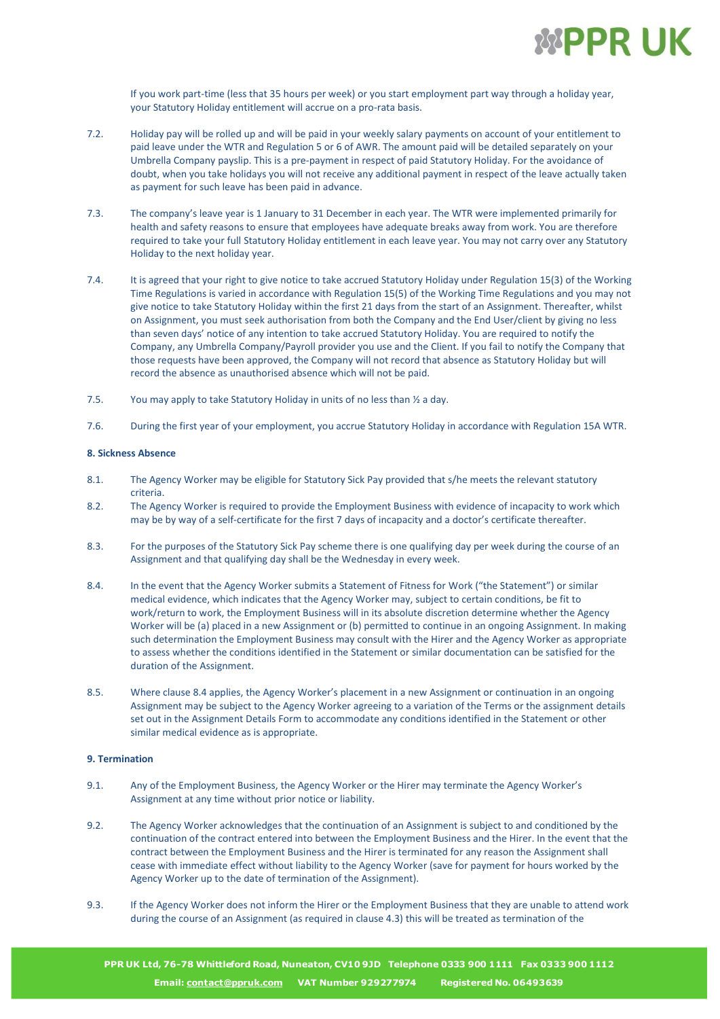

If you work part-time (less that 35 hours per week) or you start employment part way through a holiday year, your Statutory Holiday entitlement will accrue on a pro-rata basis.

- 7.2. Holiday pay will be rolled up and will be paid in your weekly salary payments on account of your entitlement to paid leave under the WTR and Regulation 5 or 6 of AWR. The amount paid will be detailed separately on your Umbrella Company payslip. This is a pre-payment in respect of paid Statutory Holiday. For the avoidance of doubt, when you take holidays you will not receive any additional payment in respect of the leave actually taken as payment for such leave has been paid in advance.
- 7.3. The company's leave year is 1 January to 31 December in each year. The WTR were implemented primarily for health and safety reasons to ensure that employees have adequate breaks away from work. You are therefore required to take your full Statutory Holiday entitlement in each leave year. You may not carry over any Statutory Holiday to the next holiday year.
- 7.4. It is agreed that your right to give notice to take accrued Statutory Holiday under Regulation 15(3) of the Working Time Regulations is varied in accordance with Regulation 15(5) of the Working Time Regulations and you may not give notice to take Statutory Holiday within the first 21 days from the start of an Assignment. Thereafter, whilst on Assignment, you must seek authorisation from both the Company and the End User/client by giving no less than seven days' notice of any intention to take accrued Statutory Holiday. You are required to notify the Company, any Umbrella Company/Payroll provider you use and the Client. If you fail to notify the Company that those requests have been approved, the Company will not record that absence as Statutory Holiday but will record the absence as unauthorised absence which will not be paid.
- 7.5. You may apply to take Statutory Holiday in units of no less than  $\frac{1}{2}$  a day.
- 7.6. During the first year of your employment, you accrue Statutory Holiday in accordance with Regulation 15A WTR.

#### **8. Sickness Absence**

- 8.1. The Agency Worker may be eligible for Statutory Sick Pay provided that s/he meets the relevant statutory criteria.
- 8.2. The Agency Worker is required to provide the Employment Business with evidence of incapacity to work which may be by way of a self-certificate for the first 7 days of incapacity and a doctor's certificate thereafter.
- 8.3. For the purposes of the Statutory Sick Pay scheme there is one qualifying day per week during the course of an Assignment and that qualifying day shall be the Wednesday in every week.
- 8.4. In the event that the Agency Worker submits a Statement of Fitness for Work ("the Statement") or similar medical evidence, which indicates that the Agency Worker may, subject to certain conditions, be fit to work/return to work, the Employment Business will in its absolute discretion determine whether the Agency Worker will be (a) placed in a new Assignment or (b) permitted to continue in an ongoing Assignment. In making such determination the Employment Business may consult with the Hirer and the Agency Worker as appropriate to assess whether the conditions identified in the Statement or similar documentation can be satisfied for the duration of the Assignment.
- 8.5. Where clause 8.4 applies, the Agency Worker's placement in a new Assignment or continuation in an ongoing Assignment may be subject to the Agency Worker agreeing to a variation of the Terms or the assignment details set out in the Assignment Details Form to accommodate any conditions identified in the Statement or other similar medical evidence as is appropriate.

#### **9. Termination**

- 9.1. Any of the Employment Business, the Agency Worker or the Hirer may terminate the Agency Worker's Assignment at any time without prior notice or liability.
- 9.2. The Agency Worker acknowledges that the continuation of an Assignment is subject to and conditioned by the continuation of the contract entered into between the Employment Business and the Hirer. In the event that the contract between the Employment Business and the Hirer is terminated for any reason the Assignment shall cease with immediate effect without liability to the Agency Worker (save for payment for hours worked by the Agency Worker up to the date of termination of the Assignment).
- 9.3. If the Agency Worker does not inform the Hirer or the Employment Business that they are unable to attend work during the course of an Assignment (as required in clause 4.3) this will be treated as termination of the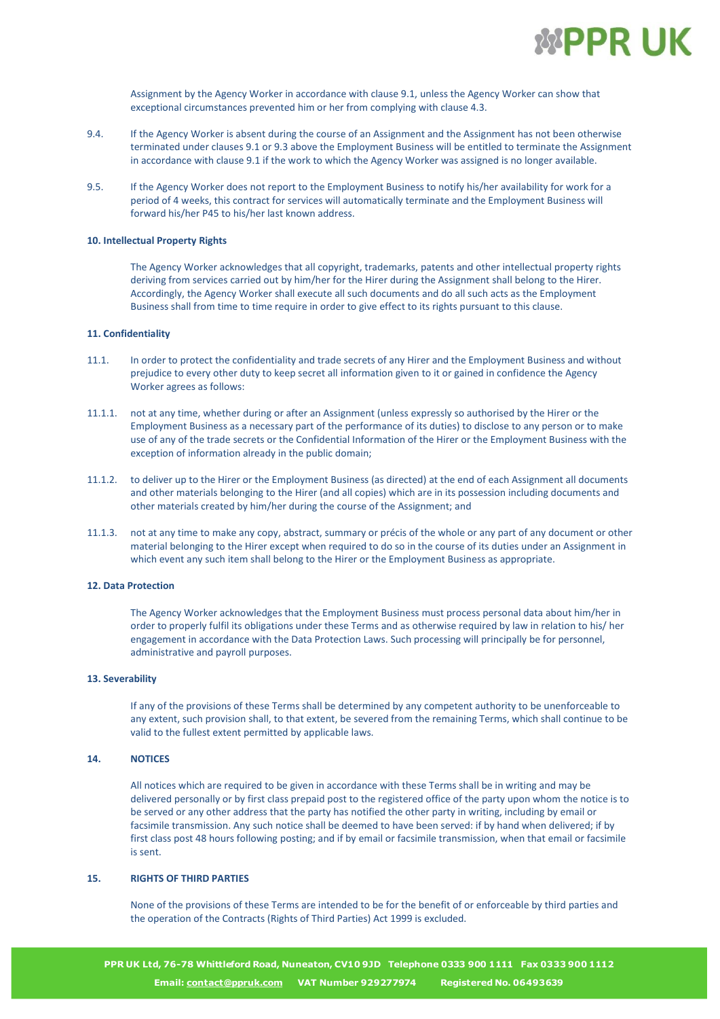

Assignment by the Agency Worker in accordance with clause 9.1, unless the Agency Worker can show that exceptional circumstances prevented him or her from complying with clause 4.3.

- 9.4. If the Agency Worker is absent during the course of an Assignment and the Assignment has not been otherwise terminated under clauses 9.1 or 9.3 above the Employment Business will be entitled to terminate the Assignment in accordance with clause 9.1 if the work to which the Agency Worker was assigned is no longer available.
- 9.5. If the Agency Worker does not report to the Employment Business to notify his/her availability for work for a period of 4 weeks, this contract for services will automatically terminate and the Employment Business will forward his/her P45 to his/her last known address.

#### **10. Intellectual Property Rights**

The Agency Worker acknowledges that all copyright, trademarks, patents and other intellectual property rights deriving from services carried out by him/her for the Hirer during the Assignment shall belong to the Hirer. Accordingly, the Agency Worker shall execute all such documents and do all such acts as the Employment Business shall from time to time require in order to give effect to its rights pursuant to this clause.

#### **11. Confidentiality**

- 11.1. In order to protect the confidentiality and trade secrets of any Hirer and the Employment Business and without prejudice to every other duty to keep secret all information given to it or gained in confidence the Agency Worker agrees as follows:
- 11.1.1. not at any time, whether during or after an Assignment (unless expressly so authorised by the Hirer or the Employment Business as a necessary part of the performance of its duties) to disclose to any person or to make use of any of the trade secrets or the Confidential Information of the Hirer or the Employment Business with the exception of information already in the public domain;
- 11.1.2. to deliver up to the Hirer or the Employment Business (as directed) at the end of each Assignment all documents and other materials belonging to the Hirer (and all copies) which are in its possession including documents and other materials created by him/her during the course of the Assignment; and
- 11.1.3. not at any time to make any copy, abstract, summary or précis of the whole or any part of any document or other material belonging to the Hirer except when required to do so in the course of its duties under an Assignment in which event any such item shall belong to the Hirer or the Employment Business as appropriate.

#### **12. Data Protection**

The Agency Worker acknowledges that the Employment Business must process personal data about him/her in order to properly fulfil its obligations under these Terms and as otherwise required by law in relation to his/ her engagement in accordance with the Data Protection Laws. Such processing will principally be for personnel, administrative and payroll purposes.

#### **13. Severability**

If any of the provisions of these Terms shall be determined by any competent authority to be unenforceable to any extent, such provision shall, to that extent, be severed from the remaining Terms, which shall continue to be valid to the fullest extent permitted by applicable laws.

#### **14. NOTICES**

All notices which are required to be given in accordance with these Terms shall be in writing and may be delivered personally or by first class prepaid post to the registered office of the party upon whom the notice is to be served or any other address that the party has notified the other party in writing, including by email or facsimile transmission. Any such notice shall be deemed to have been served: if by hand when delivered; if by first class post 48 hours following posting; and if by email or facsimile transmission, when that email or facsimile is sent.

#### **15. RIGHTS OF THIRD PARTIES**

None of the provisions of these Terms are intended to be for the benefit of or enforceable by third parties and the operation of the Contracts (Rights of Third Parties) Act 1999 is excluded.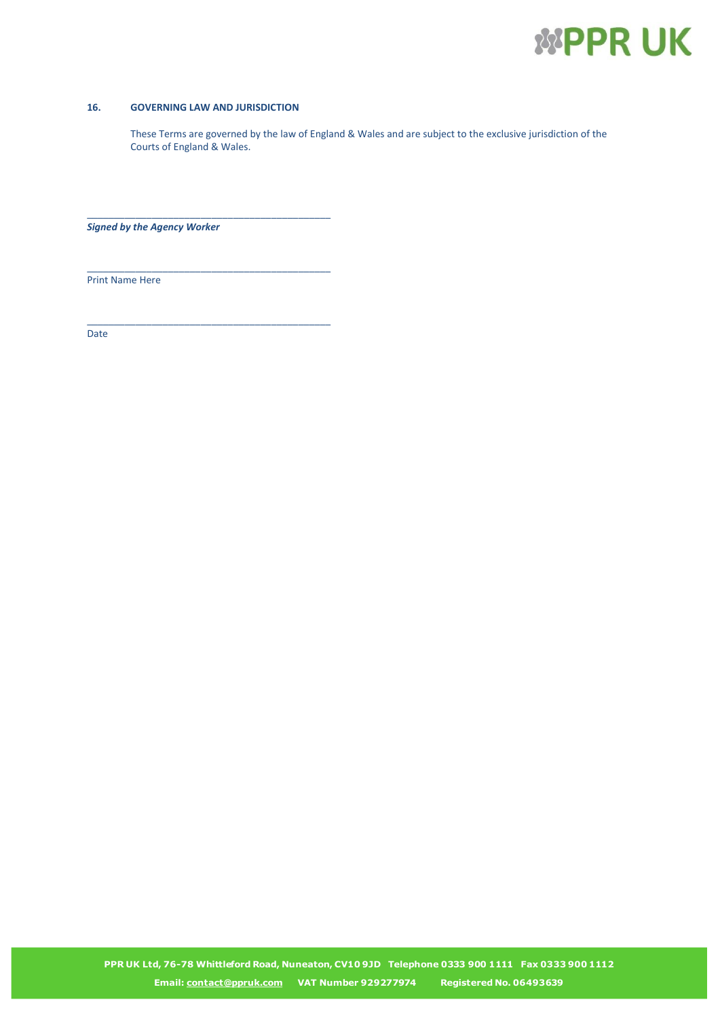

#### **16. GOVERNING LAW AND JURISDICTION**

\_\_\_\_\_\_\_\_\_\_\_\_\_\_\_\_\_\_\_\_\_\_\_\_\_\_\_\_\_\_\_\_\_\_\_\_\_\_\_\_\_\_\_\_\_

\_\_\_\_\_\_\_\_\_\_\_\_\_\_\_\_\_\_\_\_\_\_\_\_\_\_\_\_\_\_\_\_\_\_\_\_\_\_\_\_\_\_\_\_\_

\_\_\_\_\_\_\_\_\_\_\_\_\_\_\_\_\_\_\_\_\_\_\_\_\_\_\_\_\_\_\_\_\_\_\_\_\_\_\_\_\_\_\_\_\_

These Terms are governed by the law of England & Wales and are subject to the exclusive jurisdiction of the Courts of England & Wales.

*Signed by the Agency Worker*

Print Name Here

Date